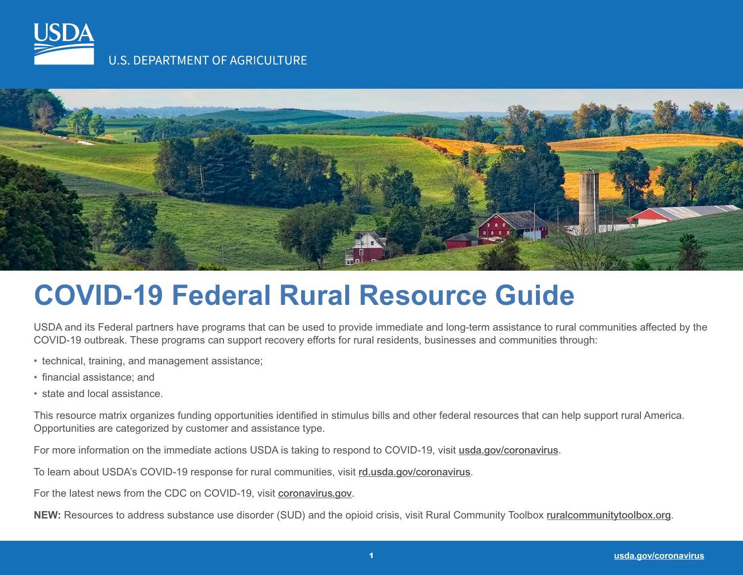



### **COVID-19 Federal Rural Resource Guide**

USDA and its Federal partners have programs that can be used to provide immediate and long-term assistance to rural communities affected by the COVID-19 outbreak. These programs can support recovery efforts for rural residents, businesses and communities through:

- technical, training, and management assistance;
- financial assistance; and
- state and local assistance.

This resource matrix organizes funding opportunities identified in stimulus bills and other federal resources that can help support rural America. Opportunities are categorized by customer and assistance type.

For more information on the immediate actions USDA is taking to respond to COVID-19, visit [usda.gov/coronavirus](https://www.usda.gov/coronavirus).

To learn about USDA's COVID-19 response for rural communities, visit [rd.usda.gov/coronavirus](https://www.rd.usda.gov/coronavirus).

For the latest news from the CDC on COVID-19, visit [coronavirus.gov](https://www.coronavirus.gov).

**NEW:** Resources to address substance use disorder (SUD) and the opioid crisis, visit Rural Community Toolbox [ruralcommunitytoolbox.org](https://www.ruralcommunitytoolbox.org/).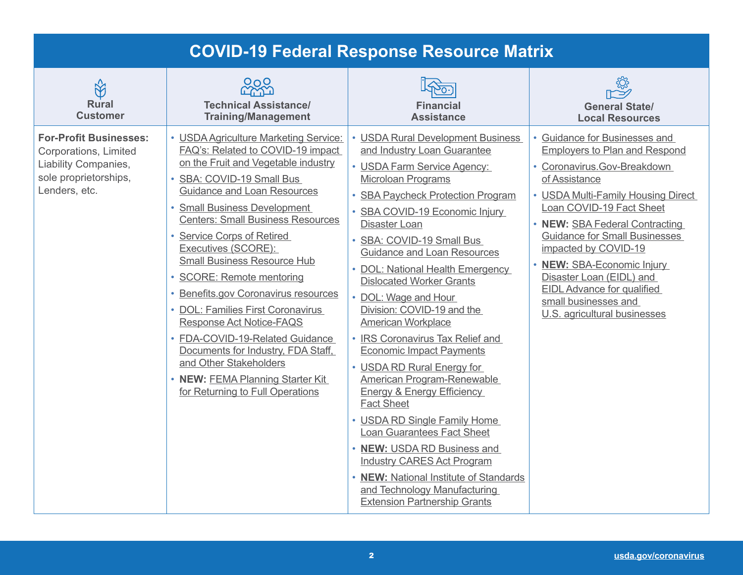| <b>COVID-19 Federal Response Resource Matrix</b>                                                                         |                                                                                                                                                                                                                                                                                                                                                                                                                                                                                                                                                                                                                                                                              |                                                                                                                                                                                                                                                                                                                                                                                                                                                                                                                                                                                                                                                                                                                                                                                                                                                                                                                    |                                                                                                                                                                                                                                                                                                                                                                                                                                           |
|--------------------------------------------------------------------------------------------------------------------------|------------------------------------------------------------------------------------------------------------------------------------------------------------------------------------------------------------------------------------------------------------------------------------------------------------------------------------------------------------------------------------------------------------------------------------------------------------------------------------------------------------------------------------------------------------------------------------------------------------------------------------------------------------------------------|--------------------------------------------------------------------------------------------------------------------------------------------------------------------------------------------------------------------------------------------------------------------------------------------------------------------------------------------------------------------------------------------------------------------------------------------------------------------------------------------------------------------------------------------------------------------------------------------------------------------------------------------------------------------------------------------------------------------------------------------------------------------------------------------------------------------------------------------------------------------------------------------------------------------|-------------------------------------------------------------------------------------------------------------------------------------------------------------------------------------------------------------------------------------------------------------------------------------------------------------------------------------------------------------------------------------------------------------------------------------------|
| $\bigotimes$<br><b>Rural</b><br><b>Customer</b>                                                                          | 220<br>220<br><b>Technical Assistance/</b><br><b>Training/Management</b>                                                                                                                                                                                                                                                                                                                                                                                                                                                                                                                                                                                                     | <b>Financial</b><br><b>Assistance</b>                                                                                                                                                                                                                                                                                                                                                                                                                                                                                                                                                                                                                                                                                                                                                                                                                                                                              | <b>General State/</b><br><b>Local Resources</b>                                                                                                                                                                                                                                                                                                                                                                                           |
| <b>For-Profit Businesses:</b><br>Corporations, Limited<br>Liability Companies,<br>sole proprietorships,<br>Lenders, etc. | • USDA Agriculture Marketing Service:<br>FAQ's: Related to COVID-19 impact<br>on the Fruit and Vegetable industry<br>• SBA: COVID-19 Small Bus<br><b>Guidance and Loan Resources</b><br>• Small Business Development<br><b>Centers: Small Business Resources</b><br>• Service Corps of Retired<br>Executives (SCORE):<br><b>Small Business Resource Hub</b><br>· SCORE: Remote mentoring<br>· Benefits.gov Coronavirus resources<br>• DOL: Families First Coronavirus<br>Response Act Notice-FAQS<br>• FDA-COVID-19-Related Guidance<br>Documents for Industry, FDA Staff,<br>and Other Stakeholders<br>• NEW: FEMA Planning Starter Kit<br>for Returning to Full Operations | <b>USDA Rural Development Business</b><br>and Industry Loan Guarantee<br>• USDA Farm Service Agency:<br><b>Microloan Programs</b><br><b>SBA Paycheck Protection Program</b><br>SBA COVID-19 Economic Injury<br><b>Disaster Loan</b><br>SBA: COVID-19 Small Bus<br><b>Guidance and Loan Resources</b><br>• DOL: National Health Emergency<br><b>Dislocated Worker Grants</b><br>• DOL: Wage and Hour<br>Division: COVID-19 and the<br>American Workplace<br>• IRS Coronavirus Tax Relief and<br><b>Economic Impact Payments</b><br>• USDA RD Rural Energy for<br>American Program-Renewable<br><b>Energy &amp; Energy Efficiency</b><br><b>Fact Sheet</b><br>• USDA RD Single Family Home<br><b>Loan Guarantees Fact Sheet</b><br>• NEW: USDA RD Business and<br><b>Industry CARES Act Program</b><br>• NEW: National Institute of Standards<br>and Technology Manufacturing<br><b>Extension Partnership Grants</b> | • Guidance for Businesses and<br><b>Employers to Plan and Respond</b><br>• Coronavirus.Gov-Breakdown<br>of Assistance<br>• USDA Multi-Family Housing Direct<br>Loan COVID-19 Fact Sheet<br>• NEW: SBA Federal Contracting<br><b>Guidance for Small Businesses</b><br>impacted by COVID-19<br>• NEW: SBA-Economic Injury<br>Disaster Loan (EIDL) and<br>EIDL Advance for qualified<br>small businesses and<br>U.S. agricultural businesses |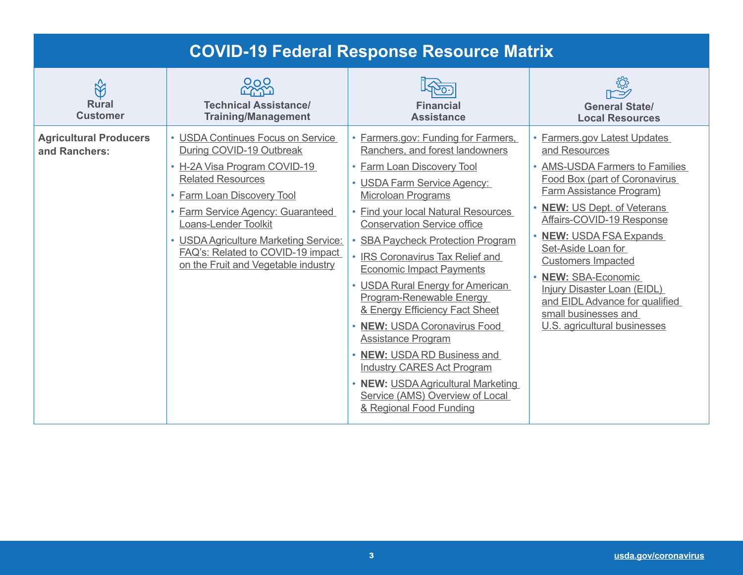|                                                   |                                                                                                                                                                                                                                                                                                                                                  | <b>COVID-19 Federal Response Resource Matrix</b>                                                                                                                                                                                                                                                                                                                                                                                                                                                                                                                                                                                                                                                      |                                                                                                                                                                                                                                                                                                                                                                                                                                        |
|---------------------------------------------------|--------------------------------------------------------------------------------------------------------------------------------------------------------------------------------------------------------------------------------------------------------------------------------------------------------------------------------------------------|-------------------------------------------------------------------------------------------------------------------------------------------------------------------------------------------------------------------------------------------------------------------------------------------------------------------------------------------------------------------------------------------------------------------------------------------------------------------------------------------------------------------------------------------------------------------------------------------------------------------------------------------------------------------------------------------------------|----------------------------------------------------------------------------------------------------------------------------------------------------------------------------------------------------------------------------------------------------------------------------------------------------------------------------------------------------------------------------------------------------------------------------------------|
| $\mathbb{R}^2$<br><b>Rural</b><br><b>Customer</b> | סמט<br><b>Technical Assistance/</b><br><b>Training/Management</b>                                                                                                                                                                                                                                                                                | <b>Financial</b><br><b>Assistance</b>                                                                                                                                                                                                                                                                                                                                                                                                                                                                                                                                                                                                                                                                 | <b>General State/</b><br><b>Local Resources</b>                                                                                                                                                                                                                                                                                                                                                                                        |
| <b>Agricultural Producers</b><br>and Ranchers:    | • USDA Continues Focus on Service<br>During COVID-19 Outbreak<br>• H-2A Visa Program COVID-19<br><b>Related Resources</b><br>• Farm Loan Discovery Tool<br>• Farm Service Agency: Guaranteed<br><b>Loans-Lender Toolkit</b><br>• USDA Agriculture Marketing Service:<br>FAQ's: Related to COVID-19 impact<br>on the Fruit and Vegetable industry | • Farmers.gov: Funding for Farmers,<br>Ranchers, and forest landowners<br>• Farm Loan Discovery Tool<br>• USDA Farm Service Agency:<br><b>Microloan Programs</b><br>• Find your local Natural Resources<br><b>Conservation Service office</b><br><b>SBA Paycheck Protection Program</b><br>• IRS Coronavirus Tax Relief and<br><b>Economic Impact Payments</b><br>• USDA Rural Energy for American<br>Program-Renewable Energy<br>& Energy Efficiency Fact Sheet<br>• NEW: USDA Coronavirus Food<br><b>Assistance Program</b><br>• NEW: USDA RD Business and<br><b>Industry CARES Act Program</b><br>• NEW: USDA Agricultural Marketing<br>Service (AMS) Overview of Local<br>& Regional Food Funding | • Farmers.gov Latest Updates<br>and Resources<br>• AMS-USDA Farmers to Families<br>Food Box (part of Coronavirus<br>Farm Assistance Program)<br>• NEW: US Dept. of Veterans<br>Affairs-COVID-19 Response<br>• NEW: USDA FSA Expands<br>Set-Aside Loan for<br><b>Customers Impacted</b><br>• NEW: SBA-Economic<br>Injury Disaster Loan (EIDL)<br>and EIDL Advance for qualified<br>small businesses and<br>U.S. agricultural businesses |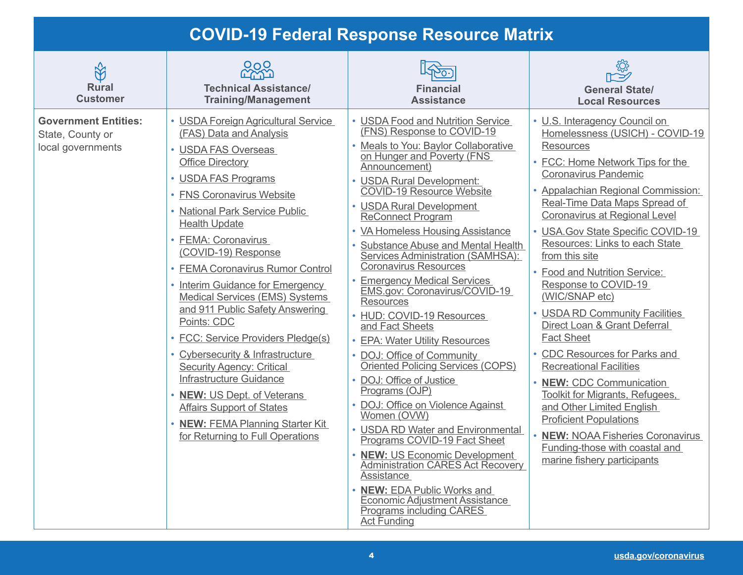#### **COVID-19 Federal Response Resource Matrix**

| $\Im$<br><b>Rural</b><br><b>Customer</b>                             | 0 <sub>O</sub><br><b>LYYO</b><br><b>Technical Assistance/</b><br><b>Training/Management</b>                                                                                                                                                                                                                                                                                                                                                                                                                                                                                                                                                                                                                                         | <b>Financial</b><br><b>Assistance</b>                                                                                                                                                                                                                                                                                                                                                                                                                                                                                                                                                                                                                                                                                                                                                                                                                                                                                                                                                                                                                                              | <b>General State/</b><br><b>Local Resources</b>                                                                                                                                                                                                                                                                                                                                                                                                                                                                                                                                                                                                                                                                                                                                                                                        |
|----------------------------------------------------------------------|-------------------------------------------------------------------------------------------------------------------------------------------------------------------------------------------------------------------------------------------------------------------------------------------------------------------------------------------------------------------------------------------------------------------------------------------------------------------------------------------------------------------------------------------------------------------------------------------------------------------------------------------------------------------------------------------------------------------------------------|------------------------------------------------------------------------------------------------------------------------------------------------------------------------------------------------------------------------------------------------------------------------------------------------------------------------------------------------------------------------------------------------------------------------------------------------------------------------------------------------------------------------------------------------------------------------------------------------------------------------------------------------------------------------------------------------------------------------------------------------------------------------------------------------------------------------------------------------------------------------------------------------------------------------------------------------------------------------------------------------------------------------------------------------------------------------------------|----------------------------------------------------------------------------------------------------------------------------------------------------------------------------------------------------------------------------------------------------------------------------------------------------------------------------------------------------------------------------------------------------------------------------------------------------------------------------------------------------------------------------------------------------------------------------------------------------------------------------------------------------------------------------------------------------------------------------------------------------------------------------------------------------------------------------------------|
| <b>Government Entities:</b><br>State, County or<br>local governments | • USDA Foreign Agricultural Service<br>(FAS) Data and Analysis<br>• USDA FAS Overseas<br><b>Office Directory</b><br>• USDA FAS Programs<br>• FNS Coronavirus Website<br>• National Park Service Public<br><b>Health Update</b><br>• FEMA: Coronavirus<br>(COVID-19) Response<br>• FEMA Coronavirus Rumor Control<br>• Interim Guidance for Emergency<br><b>Medical Services (EMS) Systems</b><br>and 911 Public Safety Answering<br>Points: CDC<br>• FCC: Service Providers Pledge(s)<br>• Cybersecurity & Infrastructure<br><b>Security Agency: Critical</b><br>Infrastructure Guidance<br>• NEW: US Dept. of Veterans<br><b>Affairs Support of States</b><br>• NEW: FEMA Planning Starter Kit<br>for Returning to Full Operations | • USDA Food and Nutrition Service<br>(FNS) Response to COVID-19<br>• Meals to You: Baylor Collaborative<br>on Hunger and Poverty (FNS<br>Announcement)<br>• USDA Rural Development:<br><b>COVID-19 Resource Website</b><br>• USDA Rural Development<br><b>ReConnect Program</b><br>• VA Homeless Housing Assistance<br>• Substance Abuse and Mental Health<br>Services Administration (SAMHSA):<br><b>Coronavirus Resources</b><br>• Emergency Medical Services<br>EMS.gov: Coronavirus/COVID-19<br><b>Resources</b><br>• HUD: COVID-19 Resources<br>and Fact Sheets<br>• EPA: Water Utility Resources<br>• DOJ: Office of Community<br>Oriented Policing Services (COPS)<br>• DOJ: Office of Justice<br>Programs (OJP)<br>• DOJ: Office on Violence Against<br>Women (OVW)<br>• USDA RD Water and Environmental<br>Programs COVID-19 Fact Sheet<br>• NEW: US Economic Development<br><b>Administration CARES Act Recovery</b><br>Assistance<br><b>NEW: EDA Public Works and</b><br><b>Economic Adjustment Assistance</b><br><b>Programs including CARES</b><br><b>Act Funding</b> | • U.S. Interagency Council on<br>Homelessness (USICH) - COVID-19<br><b>Resources</b><br>• FCC: Home Network Tips for the<br>Coronavirus Pandemic<br>• Appalachian Regional Commission:<br>Real-Time Data Maps Spread of<br>Coronavirus at Regional Level<br>• USA. Gov State Specific COVID-19<br>Resources: Links to each State<br>from this site<br>• Food and Nutrition Service:<br>Response to COVID-19<br>(WIC/SNAP etc)<br>• USDA RD Community Facilities<br>Direct Loan & Grant Deferral<br><b>Fact Sheet</b><br>• CDC Resources for Parks and<br><b>Recreational Facilities</b><br>• NEW: CDC Communication<br><b>Toolkit for Migrants, Refugees,</b><br>and Other Limited English<br><b>Proficient Populations</b><br><b>NEW: NOAA Fisheries Coronavirus</b><br>Funding-those with coastal and<br>marine fishery participants |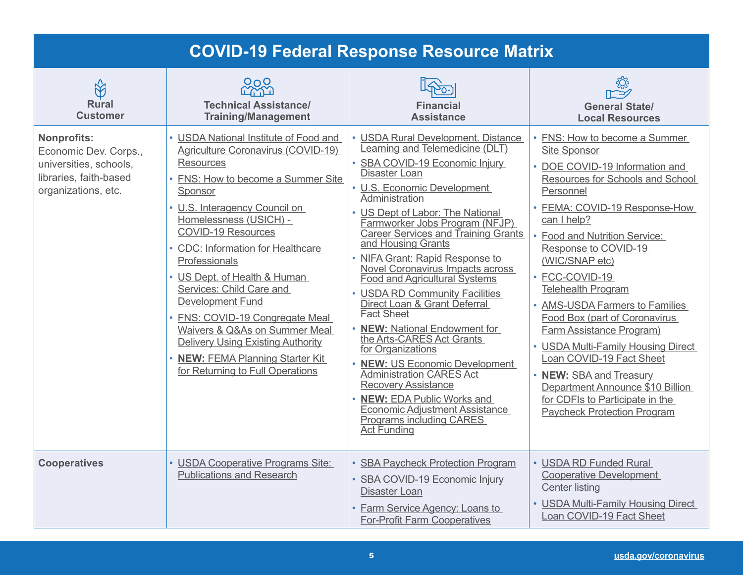| <b>COVID-19 Federal Response Resource Matrix</b>                                                                       |                                                                                                                                                                                                                                                                                                                                                                                                                                                                                                                                                                               |                                                                                                                                                                                                                                                                                                                                                                                                                                                                                                                                                                                                                                                                                                                                                                                                                                           |                                                                                                                                                                                                                                                                                                                                                                                                                                                                                                                                                                                                                            |
|------------------------------------------------------------------------------------------------------------------------|-------------------------------------------------------------------------------------------------------------------------------------------------------------------------------------------------------------------------------------------------------------------------------------------------------------------------------------------------------------------------------------------------------------------------------------------------------------------------------------------------------------------------------------------------------------------------------|-------------------------------------------------------------------------------------------------------------------------------------------------------------------------------------------------------------------------------------------------------------------------------------------------------------------------------------------------------------------------------------------------------------------------------------------------------------------------------------------------------------------------------------------------------------------------------------------------------------------------------------------------------------------------------------------------------------------------------------------------------------------------------------------------------------------------------------------|----------------------------------------------------------------------------------------------------------------------------------------------------------------------------------------------------------------------------------------------------------------------------------------------------------------------------------------------------------------------------------------------------------------------------------------------------------------------------------------------------------------------------------------------------------------------------------------------------------------------------|
| $\bigotimes$<br><b>Rural</b><br><b>Customer</b>                                                                        | ၀ဂ၀<br><b>Technical Assistance/</b><br><b>Training/Management</b>                                                                                                                                                                                                                                                                                                                                                                                                                                                                                                             | <b>Financial</b><br><b>Assistance</b>                                                                                                                                                                                                                                                                                                                                                                                                                                                                                                                                                                                                                                                                                                                                                                                                     | <b>General State/</b><br><b>Local Resources</b>                                                                                                                                                                                                                                                                                                                                                                                                                                                                                                                                                                            |
| <b>Nonprofits:</b><br>Economic Dev. Corps.,<br>universities, schools,<br>libraries, faith-based<br>organizations, etc. | • USDA National Institute of Food and<br>Agriculture Coronavirus (COVID-19)<br><b>Resources</b><br>• FNS: How to become a Summer Site<br>Sponsor<br>• U.S. Interagency Council on<br>Homelessness (USICH) -<br><b>COVID-19 Resources</b><br>• CDC: Information for Healthcare<br>Professionals<br>• US Dept. of Health & Human<br>Services: Child Care and<br><b>Development Fund</b><br>• FNS: COVID-19 Congregate Meal<br>Waivers & Q&As on Summer Meal<br><b>Delivery Using Existing Authority</b><br>• NEW: FEMA Planning Starter Kit<br>for Returning to Full Operations | • USDA Rural Development. Distance<br>Learning and Telemedicine (DLT)<br>• SBA COVID-19 Economic Injury<br>Disaster Loan<br>• U.S. Economic Development<br>Administration<br>• US Dept of Labor: The National<br>Farmworker Jobs Program (NFJP)<br><b>Career Services and Training Grants</b><br>and Housing Grants<br>• NIFA Grant: Rapid Response to<br>Novel Coronavirus Impacts across<br><b>Food and Agricultural Systems</b><br>• USDA RD Community Facilities<br>Direct Loan & Grant Deferral<br><b>Fact Sheet</b><br>• NEW: National Endowment for<br>the Arts-CARES Act Grants<br>for Organizations<br>• NEW: US Economic Development<br><b>Administration CARES Act</b><br><b>Recovery Assistance</b><br>• NEW: EDA Public Works and<br><b>Economic Adjustment Assistance</b><br>Programs including CARES<br><b>Act Funding</b> | • FNS: How to become a Summer<br><b>Site Sponsor</b><br>• DOE COVID-19 Information and<br>Resources for Schools and School<br>Personnel<br>• FEMA: COVID-19 Response-How<br>can I help?<br>• Food and Nutrition Service:<br>Response to COVID-19<br>(WIC/SNAP etc)<br>• FCC-COVID-19<br><b>Telehealth Program</b><br>• AMS-USDA Farmers to Families<br>Food Box (part of Coronavirus<br>Farm Assistance Program)<br>• USDA Multi-Family Housing Direct<br>Loan COVID-19 Fact Sheet<br>• NEW: SBA and Treasury<br>Department Announce \$10 Billion<br>for CDFIs to Participate in the<br><b>Paycheck Protection Program</b> |
| <b>Cooperatives</b>                                                                                                    | • USDA Cooperative Programs Site:<br><b>Publications and Research</b>                                                                                                                                                                                                                                                                                                                                                                                                                                                                                                         | • SBA Paycheck Protection Program<br>• SBA COVID-19 Economic Injury<br>Disaster Loan<br>• Farm Service Agency: Loans to<br><b>For-Profit Farm Cooperatives</b>                                                                                                                                                                                                                                                                                                                                                                                                                                                                                                                                                                                                                                                                            | • USDA RD Funded Rural<br><b>Cooperative Development</b><br><b>Center listing</b><br>• USDA Multi-Family Housing Direct<br>Loan COVID-19 Fact Sheet                                                                                                                                                                                                                                                                                                                                                                                                                                                                        |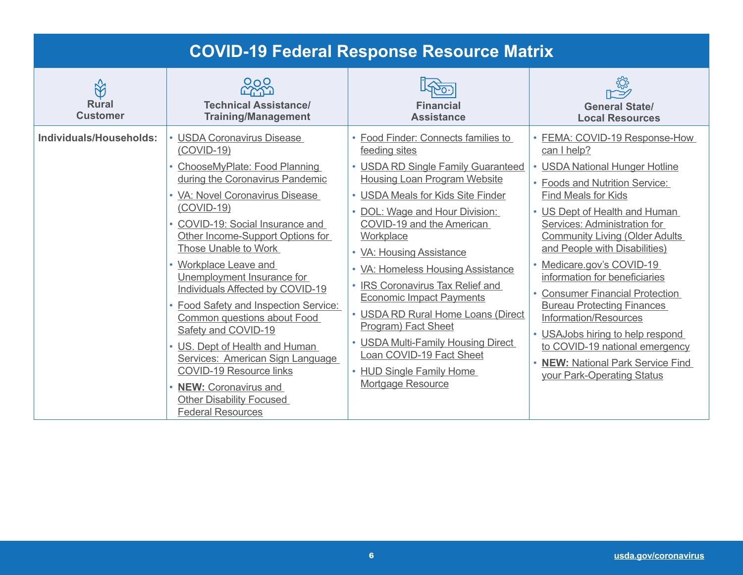| <b>COVID-19 Federal Response Resource Matrix</b>  |                                                                                                                                                                                                                                                                                                                                                                                                                                                                                                                                                                                                                                                                  |                                                                                                                                                                                                                                                                                                                                                                                                                                                                                                                                                                                   |                                                                                                                                                                                                                                                                                                                                                                                                                                                                                                                                                                                                    |
|---------------------------------------------------|------------------------------------------------------------------------------------------------------------------------------------------------------------------------------------------------------------------------------------------------------------------------------------------------------------------------------------------------------------------------------------------------------------------------------------------------------------------------------------------------------------------------------------------------------------------------------------------------------------------------------------------------------------------|-----------------------------------------------------------------------------------------------------------------------------------------------------------------------------------------------------------------------------------------------------------------------------------------------------------------------------------------------------------------------------------------------------------------------------------------------------------------------------------------------------------------------------------------------------------------------------------|----------------------------------------------------------------------------------------------------------------------------------------------------------------------------------------------------------------------------------------------------------------------------------------------------------------------------------------------------------------------------------------------------------------------------------------------------------------------------------------------------------------------------------------------------------------------------------------------------|
| $\mathbb{R}^2$<br><b>Rural</b><br><b>Customer</b> | ೦೧೦<br><b>Technical Assistance/</b><br><b>Training/Management</b>                                                                                                                                                                                                                                                                                                                                                                                                                                                                                                                                                                                                | <b>Financial</b><br><b>Assistance</b>                                                                                                                                                                                                                                                                                                                                                                                                                                                                                                                                             | <b>General State/</b><br><b>Local Resources</b>                                                                                                                                                                                                                                                                                                                                                                                                                                                                                                                                                    |
| Individuals/Households:                           | • USDA Coronavirus Disease<br>$(COVID-19)$<br>ChooseMyPlate: Food Planning<br>during the Coronavirus Pandemic<br>• VA: Novel Coronavirus Disease<br>$(COVID-19)$<br>• COVID-19: Social Insurance and<br>Other Income-Support Options for<br>Those Unable to Work<br>• Workplace Leave and<br>Unemployment Insurance for<br>Individuals Affected by COVID-19<br>• Food Safety and Inspection Service:<br>Common questions about Food<br>Safety and COVID-19<br>• US. Dept of Health and Human<br>Services: American Sign Language<br><b>COVID-19 Resource links</b><br><b>NEW: Coronavirus and</b><br><b>Other Disability Focused</b><br><b>Federal Resources</b> | • Food Finder: Connects families to<br>feeding sites<br>• USDA RD Single Family Guaranteed<br><b>Housing Loan Program Website</b><br>• USDA Meals for Kids Site Finder<br>• DOL: Wage and Hour Division:<br>COVID-19 and the American<br>Workplace<br>• VA: Housing Assistance<br>• VA: Homeless Housing Assistance<br>• IRS Coronavirus Tax Relief and<br><b>Economic Impact Payments</b><br>• USDA RD Rural Home Loans (Direct<br>Program) Fact Sheet<br>• USDA Multi-Family Housing Direct<br>Loan COVID-19 Fact Sheet<br>• HUD Single Family Home<br><b>Mortgage Resource</b> | • FEMA: COVID-19 Response-How<br>can I help?<br>• USDA National Hunger Hotline<br>• Foods and Nutrition Service:<br><b>Find Meals for Kids</b><br>• US Dept of Health and Human<br>Services: Administration for<br><b>Community Living (Older Adults)</b><br>and People with Disabilities)<br>• Medicare.gov's COVID-19<br>information for beneficiaries<br>• Consumer Financial Protection<br><b>Bureau Protecting Finances</b><br>Information/Resources<br>• USAJobs hiring to help respond<br>to COVID-19 national emergency<br>• NEW: National Park Service Find<br>your Park-Operating Status |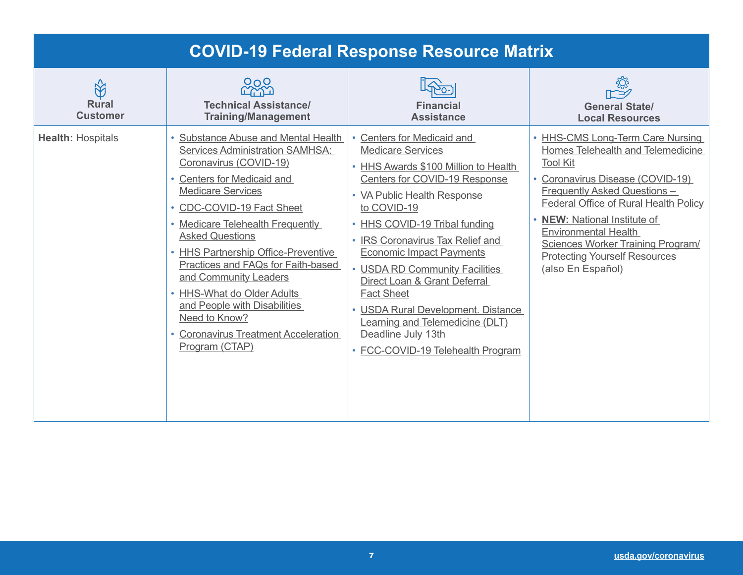| <b>COVID-19 Federal Response Resource Matrix</b> |                                                                                                                                                                                                                                                                                                                                                                                                                                                                                                    |                                                                                                                                                                                                                                                                                                                                                                                                                                                                                                                |                                                                                                                                                                                                                                                                                                                                                                                                 |
|--------------------------------------------------|----------------------------------------------------------------------------------------------------------------------------------------------------------------------------------------------------------------------------------------------------------------------------------------------------------------------------------------------------------------------------------------------------------------------------------------------------------------------------------------------------|----------------------------------------------------------------------------------------------------------------------------------------------------------------------------------------------------------------------------------------------------------------------------------------------------------------------------------------------------------------------------------------------------------------------------------------------------------------------------------------------------------------|-------------------------------------------------------------------------------------------------------------------------------------------------------------------------------------------------------------------------------------------------------------------------------------------------------------------------------------------------------------------------------------------------|
| <b>Rural</b><br><b>Customer</b>                  | 0 <sub>O</sub><br><b>Technical Assistance/</b><br><b>Training/Management</b>                                                                                                                                                                                                                                                                                                                                                                                                                       | <b>Financial</b><br><b>Assistance</b>                                                                                                                                                                                                                                                                                                                                                                                                                                                                          | <b>General State/</b><br><b>Local Resources</b>                                                                                                                                                                                                                                                                                                                                                 |
| <b>Health: Hospitals</b>                         | Substance Abuse and Mental Health<br>Services Administration SAMHSA:<br>Coronavirus (COVID-19)<br>• Centers for Medicaid and<br><b>Medicare Services</b><br>• CDC-COVID-19 Fact Sheet<br>• Medicare Telehealth Frequently<br><b>Asked Questions</b><br>• HHS Partnership Office-Preventive<br>Practices and FAQs for Faith-based<br>and Community Leaders<br>• HHS-What do Older Adults<br>and People with Disabilities<br>Need to Know?<br>• Coronavirus Treatment Acceleration<br>Program (CTAP) | Centers for Medicaid and<br><b>Medicare Services</b><br>• HHS Awards \$100 Million to Health<br>Centers for COVID-19 Response<br>• VA Public Health Response<br>to COVID-19<br>• HHS COVID-19 Tribal funding<br>• IRS Coronavirus Tax Relief and<br><b>Economic Impact Payments</b><br>• USDA RD Community Facilities<br>Direct Loan & Grant Deferral<br><b>Fact Sheet</b><br>• USDA Rural Development. Distance<br>Learning and Telemedicine (DLT)<br>Deadline July 13th<br>• FCC-COVID-19 Telehealth Program | • HHS-CMS Long-Term Care Nursing<br>Homes Telehealth and Telemedicine<br><b>Tool Kit</b><br>• Coronavirus Disease (COVID-19)<br>Frequently Asked Questions -<br>Federal Office of Rural Health Policy<br><b>NEW:</b> National Institute of<br>$\bullet$<br><b>Environmental Health</b><br><b>Sciences Worker Training Program/</b><br><b>Protecting Yourself Resources</b><br>(also En Español) |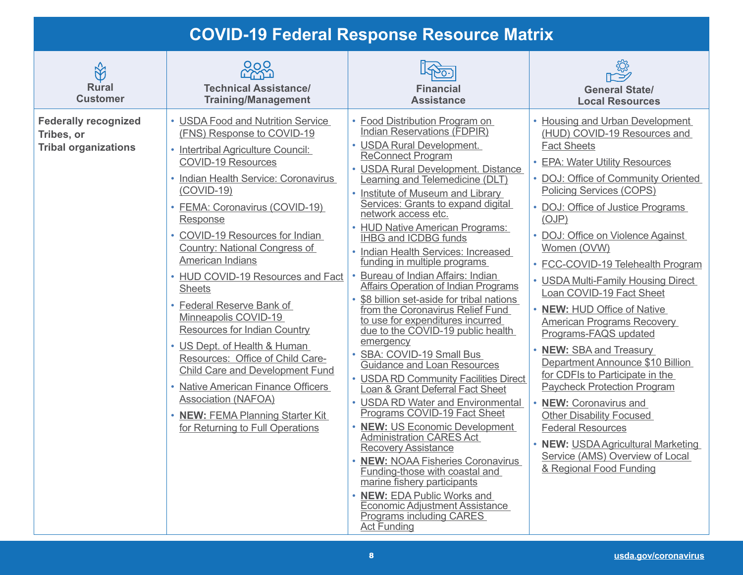#### **COVID-19 Federal Response Resource Matrix**

| $\Im$<br><b>Rural</b><br><b>Customer</b>                                 | ೦೧೦<br>mu<br><b>Technical Assistance/</b><br><b>Training/Management</b>                                                                                                                                                                                                                                                                                                                                                                                                                                                                                                                                                                                                                                                               | <b>Financial</b><br><b>Assistance</b>                                                                                                                                                                                                                                                                                                                                                                                                                                                                                                                                                                                                                                                                                                                                                                                                                                                                                                                                                                                                                                                                                                                                                                                                                          | <b>General State/</b><br><b>Local Resources</b>                                                                                                                                                                                                                                                                                                                                                                                                                                                                                                                                                                                                                                                                                                                                                                                       |
|--------------------------------------------------------------------------|---------------------------------------------------------------------------------------------------------------------------------------------------------------------------------------------------------------------------------------------------------------------------------------------------------------------------------------------------------------------------------------------------------------------------------------------------------------------------------------------------------------------------------------------------------------------------------------------------------------------------------------------------------------------------------------------------------------------------------------|----------------------------------------------------------------------------------------------------------------------------------------------------------------------------------------------------------------------------------------------------------------------------------------------------------------------------------------------------------------------------------------------------------------------------------------------------------------------------------------------------------------------------------------------------------------------------------------------------------------------------------------------------------------------------------------------------------------------------------------------------------------------------------------------------------------------------------------------------------------------------------------------------------------------------------------------------------------------------------------------------------------------------------------------------------------------------------------------------------------------------------------------------------------------------------------------------------------------------------------------------------------|---------------------------------------------------------------------------------------------------------------------------------------------------------------------------------------------------------------------------------------------------------------------------------------------------------------------------------------------------------------------------------------------------------------------------------------------------------------------------------------------------------------------------------------------------------------------------------------------------------------------------------------------------------------------------------------------------------------------------------------------------------------------------------------------------------------------------------------|
| <b>Federally recognized</b><br>Tribes, or<br><b>Tribal organizations</b> | • USDA Food and Nutrition Service<br>(FNS) Response to COVID-19<br>• Intertribal Agriculture Council:<br><b>COVID-19 Resources</b><br>• Indian Health Service: Coronavirus<br>$(COVID-19)$<br>• FEMA: Coronavirus (COVID-19)<br>Response<br>• COVID-19 Resources for Indian<br>Country: National Congress of<br>American Indians<br>• HUD COVID-19 Resources and Fact<br><b>Sheets</b><br>• Federal Reserve Bank of<br>Minneapolis COVID-19<br>Resources for Indian Country<br>• US Dept. of Health & Human<br>Resources: Office of Child Care-<br><b>Child Care and Development Fund</b><br>• Native American Finance Officers<br><b>Association (NAFOA)</b><br>• NEW: FEMA Planning Starter Kit<br>for Returning to Full Operations | • Food Distribution Program on<br><b>Indian Reservations (FDPIR)</b><br>• USDA Rural Development.<br><b>ReConnect Program</b><br>• USDA Rural Development. Distance<br>earning and Telemedicine (DLT)<br>• Institute of Museum and Library<br>Services: Grants to expand digital<br>network access etc.<br>• HUD Native American Programs:<br><b>IHBG and ICDBG funds</b><br>• Indian Health Services: Increased<br>funding in multiple programs<br>• Bureau of Indian Affairs: Indian<br>Affairs Operation of Indian Programs<br>• \$8 billion set-aside for tribal nations<br>from the Coronavirus Relief Fund<br>to use for expenditures incurred<br>due to the COVID-19 public health<br>emergency<br>• SBA: COVID-19 Small Bus<br><b>Guidance and Loan Resources</b><br>• USDA RD Community Facilities Direct<br>Loan & Grant Deferral Fact Sheet<br>• USDA RD Water and Environmental<br>Programs COVID-19 Fact Sheet<br>• NEW: US Economic Development<br><b>Administration CARES Act</b><br><b>Recovery Assistance</b><br>• NEW: NOAA Fisheries Coronavirus<br>Funding-those with coastal and<br>marine fishery participants<br>• NEW: EDA Public Works and<br><b>Economic Adjustment Assistance</b><br><b>Programs including CARES</b><br>Act Funding | • Housing and Urban Development<br>(HUD) COVID-19 Resources and<br><b>Fact Sheets</b><br>• EPA: Water Utility Resources<br>• DOJ: Office of Community Oriented<br>Policing Services (COPS)<br>• DOJ: Office of Justice Programs<br>(OJP)<br>• DOJ: Office on Violence Against<br>Women (OVW)<br>• FCC-COVID-19 Telehealth Program<br>• USDA Multi-Family Housing Direct<br>Loan COVID-19 Fact Sheet<br>• NEW: HUD Office of Native<br><b>American Programs Recovery</b><br>Programs-FAQS updated<br>• NEW: SBA and Treasury<br>Department Announce \$10 Billion<br>for CDFIs to Participate in the<br><b>Paycheck Protection Program</b><br>• NEW: Coronavirus and<br><b>Other Disability Focused</b><br><b>Federal Resources</b><br>• NEW: USDA Agricultural Marketing<br>Service (AMS) Overview of Local<br>& Regional Food Funding |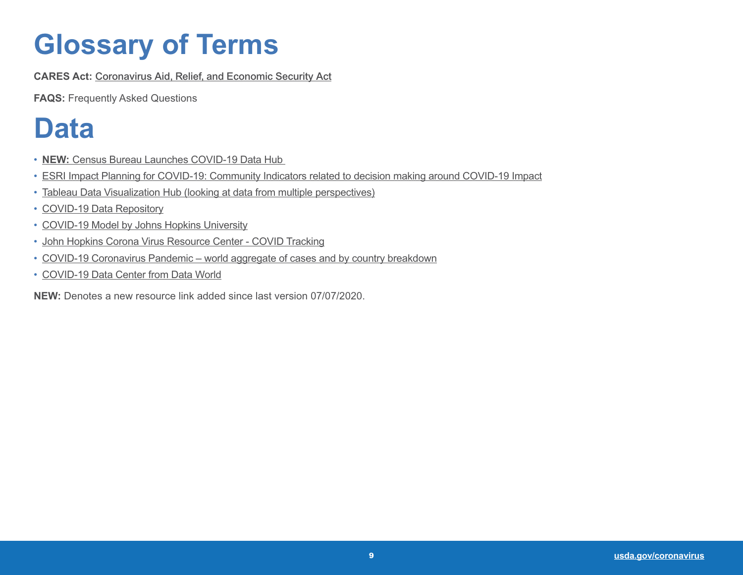# **Glossary of Terms**

**CARES Act:** [Coronavirus Aid, Relief, and Economic Security Act](https://www.congress.gov/bill/116th-congress/house-bill/748/text)

**FAQS:** Frequently Asked Questions

### **Data**

- **NEW:** [Census Bureau Launches COVID-19 Data Hub](https://covid19.census.gov/?utm_campaign=20204023msecos1ccdtars&utm_medium=email&utm_source=govdelivery)
- [ESRI Impact Planning for COVID-19: Community Indicators related to decision making around COVID-19 Impact](https://business.maps.arcgis.com/apps/opsdashboard/index.html?fbclid=IwAR2H6oCvr4pk_2ynm4fKPtxaqeGwWslE-x5liCZC3iipWN2pVUgbO_iJkcQ#/dc74772707d94db9a7d24d30ffdcf36c)
- [Tableau Data Visualization Hub \(looking at data from multiple perspectives](https://www.tableau.com/covid-19-coronavirus-data-resources?utm_campaign=2018128_TPublic_APROM_USCA_en-US_2019-09-20_T1-VOTD-Ongoing&utm_medium=Email&utm_source=Eloqua&domain=wdc.usda.gov&eid=CTBLS000017519752&utm_source=VOTD+Email&utm_campaign_id=2018128&elqTrackId=fd8cec78fc0441aeb24e6f26e1fdf654&elq=2c0a1eedbbd744d49cc65d6e0e3f4c1f&elqaid=39523&elqat=1&elqCampaignId=37807))
- [COVID-19 Data Repository](https://github.com/CSSEGISandData/COVID-19)
- [COVID-19 Model by Johns Hopkins University](https://systems.jhu.edu/research/public-health/ncov-model-2/)
- [John Hopkins Corona Virus Resource Center COVID Tracking](https://coronavirus.jhu.edu/map.html)
- [COVID-19 Coronavirus Pandemic world aggregate of cases and by country breakdown](https://www.worldometers.info/coronavirus/)
- [COVID-19 Data Center from Data World](https://data.world/resources/coronavirus/)

**NEW:** Denotes a new resource link added since last version 07/07/2020.